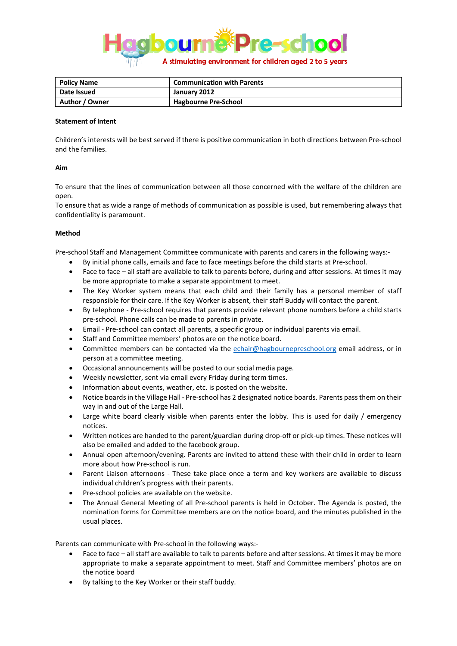

| Policy Name    | <b>Communication with Parents</b> |
|----------------|-----------------------------------|
| Date Issued    | January 2012                      |
| Author / Owner | <b>Hagbourne Pre-School</b>       |

## **Statement of Intent**

Children's interests will be best served if there is positive communication in both directions between Pre-school and the families.

## **Aim**

To ensure that the lines of communication between all those concerned with the welfare of the children are open.

To ensure that as wide a range of methods of communication as possible is used, but remembering always that confidentiality is paramount.

## **Method**

Pre-school Staff and Management Committee communicate with parents and carers in the following ways:-

- By initial phone calls, emails and face to face meetings before the child starts at Pre-school.
- Face to face all staff are available to talk to parents before, during and after sessions. At times it may be more appropriate to make a separate appointment to meet.
- The Key Worker system means that each child and their family has a personal member of staff responsible for their care. If the Key Worker is absent, their staff Buddy will contact the parent.
- By telephone Pre-school requires that parents provide relevant phone numbers before a child starts pre-school. Phone calls can be made to parents in private.
- Email Pre-school can contact all parents, a specific group or individual parents via email.
- Staff and Committee members' photos are on the notice board.
- Committee members can be contacted via the [echair@hagbournepreschool.org](mailto:echair@hagbournepreschool.org) email address, or in person at a committee meeting.
- Occasional announcements will be posted to our social media page.
- Weekly newsletter, sent via email every Friday during term times.
- Information about events, weather, etc. is posted on the website.
- Notice boards in the Village Hall Pre-school has 2 designated notice boards. Parents pass them on their way in and out of the Large Hall.
- Large white board clearly visible when parents enter the lobby. This is used for daily / emergency notices.
- Written notices are handed to the parent/guardian during drop-off or pick-up times. These notices will also be emailed and added to the facebook group.
- Annual open afternoon/evening. Parents are invited to attend these with their child in order to learn more about how Pre-school is run.
- Parent Liaison afternoons These take place once a term and key workers are available to discuss individual children's progress with their parents.
- Pre-school policies are available on the website.
- The Annual General Meeting of all Pre-school parents is held in October. The Agenda is posted, the nomination forms for Committee members are on the notice board, and the minutes published in the usual places.

Parents can communicate with Pre-school in the following ways:-

- Face to face all staff are available to talk to parents before and after sessions. At times it may be more appropriate to make a separate appointment to meet. Staff and Committee members' photos are on the notice board
- By talking to the Key Worker or their staff buddy.